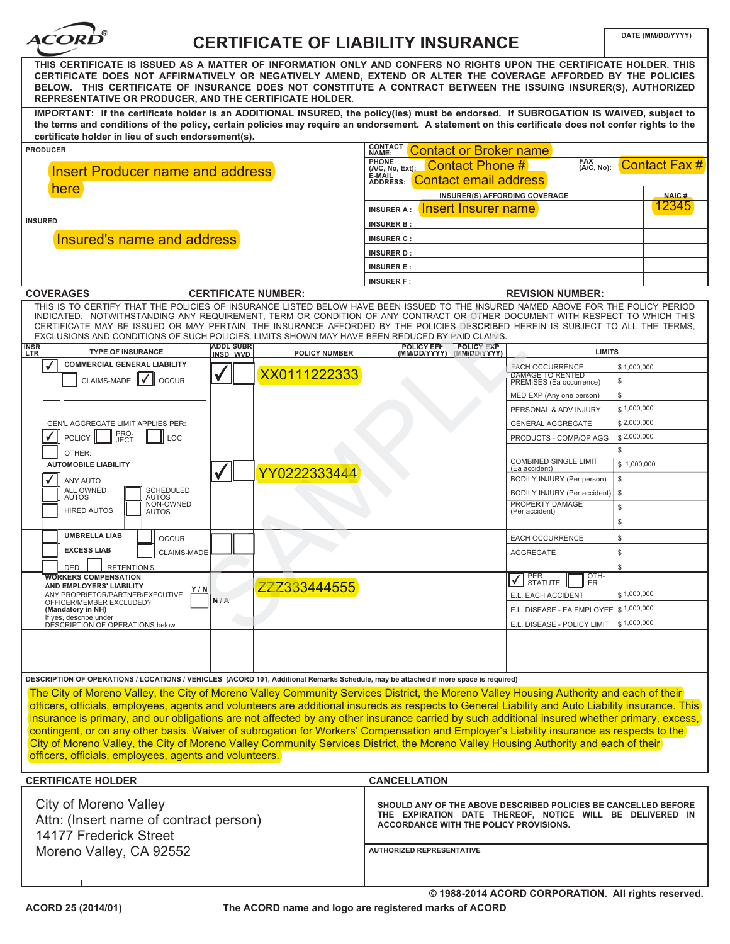| <b>ACORD</b> |
|--------------|
|              |

# **DATE (MM/DD/YYYY) CERTIFICATE OF LIABILITY INSURANCE**

| THIS CERTIFICATE IS ISSUED AS A MATTER OF INFORMATION ONLY AND CONFERS NO RIGHTS UPON THE CERTIFICATE HOLDER. THIS<br>CERTIFICATE DOES NOT AFFIRMATIVELY OR NEGATIVELY AMEND, EXTEND OR ALTER THE COVERAGE AFFORDED BY THE POLICIES<br>BELOW. THIS CERTIFICATE OF INSURANCE DOES NOT CONSTITUTE A CONTRACT BETWEEN THE ISSUING INSURER(S), AUTHORIZED<br>REPRESENTATIVE OR PRODUCER, AND THE CERTIFICATE HOLDER.<br>IMPORTANT: If the certificate holder is an ADDITIONAL INSURED, the policy(ies) must be endorsed. If SUBROGATION IS WAIVED, subject to<br>the terms and conditions of the policy, certain policies may require an endorsement. A statement on this certificate does not confer rights to the<br>certificate holder in lieu of such endorsement(s).<br><b>CONTACT</b><br><b>Contact or Broker name</b><br><b>PRODUCER</b><br>NAME:<br><b>PHONE</b><br>FAX<br>(A/C, No):<br><b>FHUNE</b><br>(A/C, No, Ext): Contact Phone #<br><b>Insert Producer name and address</b><br><b>E-MAIL</b><br><b>Contact email address</b><br>ADDRESS:<br>here<br>INSURER(S) AFFORDING COVERAGE<br>Insert Insurer name<br><b>INSURER A:</b><br><b>INSURED</b><br><b>INSURER B:</b><br>Insured's name and address<br><b>INSURER C:</b><br><b>INSURER D:</b><br><b>INSURER E:</b><br><b>INSURER F:</b><br><b>COVERAGES</b><br><b>CERTIFICATE NUMBER:</b><br><b>REVISION NUMBER:</b><br>THIS IS TO CERTIFY THAT THE POLICIES OF INSURANCE LISTED BELOW HAVE BEEN ISSUED TO THE INSURED NAMED ABOVE FOR THE POLICY PERIOD<br>INDICATED. NOTWITHSTANDING ANY REQUIREMENT. TERM OR CONDITION OF ANY CONTRACT OR OTHER DOCUMENT WITH RESPECT TO WHICH THIS<br>CERTIFICATE MAY BE ISSUED OR MAY PERTAIN, THE INSURANCE AFFORDED BY THE POLICIES DESCRIBED HEREIN IS SUBJECT TO ALL THE TERMS,<br>EXCLUSIONS AND CONDITIONS OF SUCH POLICIES. LIMITS SHOWN MAY HAVE BEEN REDUCED BY PAID CLAIMS.<br><b>ADDL SUBR</b><br><b>POLICY EXP</b><br><b>INSR</b><br><b>POLICY EFF</b><br><b>TYPE OF INSURANCE</b><br><b>LIMITS</b><br><b>POLICY NUMBER</b><br>(MM/DD/YYYY) (MM/DD/YYYY)<br>LTR<br>INSD WVD<br><b>COMMERCIAL GENERAL LIABILITY</b><br>✓<br><b>EACH OCCURRENCE</b><br>XX0111222333<br><b>DAMAGE TO RENTED</b><br>CLAIMS-MADE V<br><b>OCCUR</b><br>\$<br>PREMISES (Ea occurrence)<br>\$<br>MED EXP (Any one person)<br>PERSONAL & ADV INJURY<br>GEN'L AGGREGATE LIMIT APPLIES PER:<br><b>GENERAL AGGREGATE</b><br>PRO-<br>JECT<br><b>POLICY</b><br>LOC<br>PRODUCTS - COMP/OP AGG<br>\$<br>OTHER:<br><b>COMBINED SINGLE LIMIT</b><br><b>AUTOMOBILE LIABILITY</b><br>(Ea accident)<br>YY0222333444<br>\$<br>BODILY INJURY (Per person)<br>ANY AUTO<br><b>ALL OWNED</b><br><b>SCHEDULED</b><br>BODILY INJURY (Per accident)<br>\$<br><b>AUTOS</b><br><b>AUTOS</b><br>NON-OWNED<br>PROPERTY DAMAGE<br>\$<br><b>HIRED AUTOS</b><br>(Per accident)<br><b>AUTOS</b><br>\$<br><b>UMBRELLA LIAB</b><br><b>OCCUR</b><br>\$<br><b>EACH OCCURRENCE</b><br><b>EXCESS LIAB</b><br>CLAIMS-MADE<br>\$<br>AGGREGATE<br>\$<br><b>DED</b><br><b>RETENTION \$</b><br>OTH-<br><b>WORKERS COMPENSATION</b><br>PER<br>STATUTE<br>$\overline{\mathbf{A}}$<br>ER<br>ZZZ333444555<br>AND EMPLOYERS' LIABILITY<br>Y/N<br>ANY PROPRIETOR/PARTNER/EXECUTIVE<br>E.L. EACH ACCIDENT<br>N/A<br>OFFICER/MEMBER EXCLUDED?<br>(Mandatory in NH)<br>If yes, describe under<br>E.L. DISEASE - POLICY LIMIT<br>DESCRIPTION OF OPERATIONS below<br>DESCRIPTION OF OPERATIONS / LOCATIONS / VEHICLES (ACORD 101, Additional Remarks Schedule, may be attached if more space is required)<br>The City of Moreno Valley, the City of Moreno Valley Community Services District, the Moreno Valley Housing Authority and each of their<br>officers, officials, employees, agents and volunteers are additional insureds as respects to General Liability and Auto Liability insurance. This<br>insurance is primary, and our obligations are not affected by any other insurance carried by such additional insured whether primary, excess,<br>contingent, or on any other basis. Waiver of subrogation for Workers' Compensation and Employer's Liability insurance as respects to the | <b>Contact Fax #</b><br><b>NAIC#</b><br>12345<br>\$1,000,000<br>\$1,000,000<br>\$2,000,000<br>\$2,000,000<br>\$1,000,000 |  |  |  |
|-----------------------------------------------------------------------------------------------------------------------------------------------------------------------------------------------------------------------------------------------------------------------------------------------------------------------------------------------------------------------------------------------------------------------------------------------------------------------------------------------------------------------------------------------------------------------------------------------------------------------------------------------------------------------------------------------------------------------------------------------------------------------------------------------------------------------------------------------------------------------------------------------------------------------------------------------------------------------------------------------------------------------------------------------------------------------------------------------------------------------------------------------------------------------------------------------------------------------------------------------------------------------------------------------------------------------------------------------------------------------------------------------------------------------------------------------------------------------------------------------------------------------------------------------------------------------------------------------------------------------------------------------------------------------------------------------------------------------------------------------------------------------------------------------------------------------------------------------------------------------------------------------------------------------------------------------------------------------------------------------------------------------------------------------------------------------------------------------------------------------------------------------------------------------------------------------------------------------------------------------------------------------------------------------------------------------------------------------------------------------------------------------------------------------------------------------------------------------------------------------------------------------------------------------------------------------------------------------------------------------------------------------------------------------------------------------------------------------------------------------------------------------------------------------------------------------------------------------------------------------------------------------------------------------------------------------------------------------------------------------------------------------------------------------------------------------------------------------------------------------------------------------------------------------------------------------------------------------------------------------------------------------------------------------------------------------------------------------------------------------------------------------------------------------------------------------------------------------------------------------------------------------------------------------------------------------------------------------------------------------------------------------------------------------------------------------------------------------------------------------------------------------------------------------------------------------------------------------------------------------------------------------------------------------------------------------------------------------------------------------------------------------------------------------------------------------------------------------------------------------------------------|--------------------------------------------------------------------------------------------------------------------------|--|--|--|
|                                                                                                                                                                                                                                                                                                                                                                                                                                                                                                                                                                                                                                                                                                                                                                                                                                                                                                                                                                                                                                                                                                                                                                                                                                                                                                                                                                                                                                                                                                                                                                                                                                                                                                                                                                                                                                                                                                                                                                                                                                                                                                                                                                                                                                                                                                                                                                                                                                                                                                                                                                                                                                                                                                                                                                                                                                                                                                                                                                                                                                                                                                                                                                                                                                                                                                                                                                                                                                                                                                                                                                                                                                                                                                                                                                                                                                                                                                                                                                                                                                                                                                                                         |                                                                                                                          |  |  |  |
|                                                                                                                                                                                                                                                                                                                                                                                                                                                                                                                                                                                                                                                                                                                                                                                                                                                                                                                                                                                                                                                                                                                                                                                                                                                                                                                                                                                                                                                                                                                                                                                                                                                                                                                                                                                                                                                                                                                                                                                                                                                                                                                                                                                                                                                                                                                                                                                                                                                                                                                                                                                                                                                                                                                                                                                                                                                                                                                                                                                                                                                                                                                                                                                                                                                                                                                                                                                                                                                                                                                                                                                                                                                                                                                                                                                                                                                                                                                                                                                                                                                                                                                                         |                                                                                                                          |  |  |  |
|                                                                                                                                                                                                                                                                                                                                                                                                                                                                                                                                                                                                                                                                                                                                                                                                                                                                                                                                                                                                                                                                                                                                                                                                                                                                                                                                                                                                                                                                                                                                                                                                                                                                                                                                                                                                                                                                                                                                                                                                                                                                                                                                                                                                                                                                                                                                                                                                                                                                                                                                                                                                                                                                                                                                                                                                                                                                                                                                                                                                                                                                                                                                                                                                                                                                                                                                                                                                                                                                                                                                                                                                                                                                                                                                                                                                                                                                                                                                                                                                                                                                                                                                         |                                                                                                                          |  |  |  |
|                                                                                                                                                                                                                                                                                                                                                                                                                                                                                                                                                                                                                                                                                                                                                                                                                                                                                                                                                                                                                                                                                                                                                                                                                                                                                                                                                                                                                                                                                                                                                                                                                                                                                                                                                                                                                                                                                                                                                                                                                                                                                                                                                                                                                                                                                                                                                                                                                                                                                                                                                                                                                                                                                                                                                                                                                                                                                                                                                                                                                                                                                                                                                                                                                                                                                                                                                                                                                                                                                                                                                                                                                                                                                                                                                                                                                                                                                                                                                                                                                                                                                                                                         |                                                                                                                          |  |  |  |
|                                                                                                                                                                                                                                                                                                                                                                                                                                                                                                                                                                                                                                                                                                                                                                                                                                                                                                                                                                                                                                                                                                                                                                                                                                                                                                                                                                                                                                                                                                                                                                                                                                                                                                                                                                                                                                                                                                                                                                                                                                                                                                                                                                                                                                                                                                                                                                                                                                                                                                                                                                                                                                                                                                                                                                                                                                                                                                                                                                                                                                                                                                                                                                                                                                                                                                                                                                                                                                                                                                                                                                                                                                                                                                                                                                                                                                                                                                                                                                                                                                                                                                                                         |                                                                                                                          |  |  |  |
|                                                                                                                                                                                                                                                                                                                                                                                                                                                                                                                                                                                                                                                                                                                                                                                                                                                                                                                                                                                                                                                                                                                                                                                                                                                                                                                                                                                                                                                                                                                                                                                                                                                                                                                                                                                                                                                                                                                                                                                                                                                                                                                                                                                                                                                                                                                                                                                                                                                                                                                                                                                                                                                                                                                                                                                                                                                                                                                                                                                                                                                                                                                                                                                                                                                                                                                                                                                                                                                                                                                                                                                                                                                                                                                                                                                                                                                                                                                                                                                                                                                                                                                                         |                                                                                                                          |  |  |  |
|                                                                                                                                                                                                                                                                                                                                                                                                                                                                                                                                                                                                                                                                                                                                                                                                                                                                                                                                                                                                                                                                                                                                                                                                                                                                                                                                                                                                                                                                                                                                                                                                                                                                                                                                                                                                                                                                                                                                                                                                                                                                                                                                                                                                                                                                                                                                                                                                                                                                                                                                                                                                                                                                                                                                                                                                                                                                                                                                                                                                                                                                                                                                                                                                                                                                                                                                                                                                                                                                                                                                                                                                                                                                                                                                                                                                                                                                                                                                                                                                                                                                                                                                         |                                                                                                                          |  |  |  |
|                                                                                                                                                                                                                                                                                                                                                                                                                                                                                                                                                                                                                                                                                                                                                                                                                                                                                                                                                                                                                                                                                                                                                                                                                                                                                                                                                                                                                                                                                                                                                                                                                                                                                                                                                                                                                                                                                                                                                                                                                                                                                                                                                                                                                                                                                                                                                                                                                                                                                                                                                                                                                                                                                                                                                                                                                                                                                                                                                                                                                                                                                                                                                                                                                                                                                                                                                                                                                                                                                                                                                                                                                                                                                                                                                                                                                                                                                                                                                                                                                                                                                                                                         |                                                                                                                          |  |  |  |
|                                                                                                                                                                                                                                                                                                                                                                                                                                                                                                                                                                                                                                                                                                                                                                                                                                                                                                                                                                                                                                                                                                                                                                                                                                                                                                                                                                                                                                                                                                                                                                                                                                                                                                                                                                                                                                                                                                                                                                                                                                                                                                                                                                                                                                                                                                                                                                                                                                                                                                                                                                                                                                                                                                                                                                                                                                                                                                                                                                                                                                                                                                                                                                                                                                                                                                                                                                                                                                                                                                                                                                                                                                                                                                                                                                                                                                                                                                                                                                                                                                                                                                                                         |                                                                                                                          |  |  |  |
|                                                                                                                                                                                                                                                                                                                                                                                                                                                                                                                                                                                                                                                                                                                                                                                                                                                                                                                                                                                                                                                                                                                                                                                                                                                                                                                                                                                                                                                                                                                                                                                                                                                                                                                                                                                                                                                                                                                                                                                                                                                                                                                                                                                                                                                                                                                                                                                                                                                                                                                                                                                                                                                                                                                                                                                                                                                                                                                                                                                                                                                                                                                                                                                                                                                                                                                                                                                                                                                                                                                                                                                                                                                                                                                                                                                                                                                                                                                                                                                                                                                                                                                                         |                                                                                                                          |  |  |  |
|                                                                                                                                                                                                                                                                                                                                                                                                                                                                                                                                                                                                                                                                                                                                                                                                                                                                                                                                                                                                                                                                                                                                                                                                                                                                                                                                                                                                                                                                                                                                                                                                                                                                                                                                                                                                                                                                                                                                                                                                                                                                                                                                                                                                                                                                                                                                                                                                                                                                                                                                                                                                                                                                                                                                                                                                                                                                                                                                                                                                                                                                                                                                                                                                                                                                                                                                                                                                                                                                                                                                                                                                                                                                                                                                                                                                                                                                                                                                                                                                                                                                                                                                         |                                                                                                                          |  |  |  |
|                                                                                                                                                                                                                                                                                                                                                                                                                                                                                                                                                                                                                                                                                                                                                                                                                                                                                                                                                                                                                                                                                                                                                                                                                                                                                                                                                                                                                                                                                                                                                                                                                                                                                                                                                                                                                                                                                                                                                                                                                                                                                                                                                                                                                                                                                                                                                                                                                                                                                                                                                                                                                                                                                                                                                                                                                                                                                                                                                                                                                                                                                                                                                                                                                                                                                                                                                                                                                                                                                                                                                                                                                                                                                                                                                                                                                                                                                                                                                                                                                                                                                                                                         |                                                                                                                          |  |  |  |
|                                                                                                                                                                                                                                                                                                                                                                                                                                                                                                                                                                                                                                                                                                                                                                                                                                                                                                                                                                                                                                                                                                                                                                                                                                                                                                                                                                                                                                                                                                                                                                                                                                                                                                                                                                                                                                                                                                                                                                                                                                                                                                                                                                                                                                                                                                                                                                                                                                                                                                                                                                                                                                                                                                                                                                                                                                                                                                                                                                                                                                                                                                                                                                                                                                                                                                                                                                                                                                                                                                                                                                                                                                                                                                                                                                                                                                                                                                                                                                                                                                                                                                                                         |                                                                                                                          |  |  |  |
|                                                                                                                                                                                                                                                                                                                                                                                                                                                                                                                                                                                                                                                                                                                                                                                                                                                                                                                                                                                                                                                                                                                                                                                                                                                                                                                                                                                                                                                                                                                                                                                                                                                                                                                                                                                                                                                                                                                                                                                                                                                                                                                                                                                                                                                                                                                                                                                                                                                                                                                                                                                                                                                                                                                                                                                                                                                                                                                                                                                                                                                                                                                                                                                                                                                                                                                                                                                                                                                                                                                                                                                                                                                                                                                                                                                                                                                                                                                                                                                                                                                                                                                                         |                                                                                                                          |  |  |  |
|                                                                                                                                                                                                                                                                                                                                                                                                                                                                                                                                                                                                                                                                                                                                                                                                                                                                                                                                                                                                                                                                                                                                                                                                                                                                                                                                                                                                                                                                                                                                                                                                                                                                                                                                                                                                                                                                                                                                                                                                                                                                                                                                                                                                                                                                                                                                                                                                                                                                                                                                                                                                                                                                                                                                                                                                                                                                                                                                                                                                                                                                                                                                                                                                                                                                                                                                                                                                                                                                                                                                                                                                                                                                                                                                                                                                                                                                                                                                                                                                                                                                                                                                         |                                                                                                                          |  |  |  |
|                                                                                                                                                                                                                                                                                                                                                                                                                                                                                                                                                                                                                                                                                                                                                                                                                                                                                                                                                                                                                                                                                                                                                                                                                                                                                                                                                                                                                                                                                                                                                                                                                                                                                                                                                                                                                                                                                                                                                                                                                                                                                                                                                                                                                                                                                                                                                                                                                                                                                                                                                                                                                                                                                                                                                                                                                                                                                                                                                                                                                                                                                                                                                                                                                                                                                                                                                                                                                                                                                                                                                                                                                                                                                                                                                                                                                                                                                                                                                                                                                                                                                                                                         |                                                                                                                          |  |  |  |
|                                                                                                                                                                                                                                                                                                                                                                                                                                                                                                                                                                                                                                                                                                                                                                                                                                                                                                                                                                                                                                                                                                                                                                                                                                                                                                                                                                                                                                                                                                                                                                                                                                                                                                                                                                                                                                                                                                                                                                                                                                                                                                                                                                                                                                                                                                                                                                                                                                                                                                                                                                                                                                                                                                                                                                                                                                                                                                                                                                                                                                                                                                                                                                                                                                                                                                                                                                                                                                                                                                                                                                                                                                                                                                                                                                                                                                                                                                                                                                                                                                                                                                                                         |                                                                                                                          |  |  |  |
|                                                                                                                                                                                                                                                                                                                                                                                                                                                                                                                                                                                                                                                                                                                                                                                                                                                                                                                                                                                                                                                                                                                                                                                                                                                                                                                                                                                                                                                                                                                                                                                                                                                                                                                                                                                                                                                                                                                                                                                                                                                                                                                                                                                                                                                                                                                                                                                                                                                                                                                                                                                                                                                                                                                                                                                                                                                                                                                                                                                                                                                                                                                                                                                                                                                                                                                                                                                                                                                                                                                                                                                                                                                                                                                                                                                                                                                                                                                                                                                                                                                                                                                                         |                                                                                                                          |  |  |  |
|                                                                                                                                                                                                                                                                                                                                                                                                                                                                                                                                                                                                                                                                                                                                                                                                                                                                                                                                                                                                                                                                                                                                                                                                                                                                                                                                                                                                                                                                                                                                                                                                                                                                                                                                                                                                                                                                                                                                                                                                                                                                                                                                                                                                                                                                                                                                                                                                                                                                                                                                                                                                                                                                                                                                                                                                                                                                                                                                                                                                                                                                                                                                                                                                                                                                                                                                                                                                                                                                                                                                                                                                                                                                                                                                                                                                                                                                                                                                                                                                                                                                                                                                         |                                                                                                                          |  |  |  |
|                                                                                                                                                                                                                                                                                                                                                                                                                                                                                                                                                                                                                                                                                                                                                                                                                                                                                                                                                                                                                                                                                                                                                                                                                                                                                                                                                                                                                                                                                                                                                                                                                                                                                                                                                                                                                                                                                                                                                                                                                                                                                                                                                                                                                                                                                                                                                                                                                                                                                                                                                                                                                                                                                                                                                                                                                                                                                                                                                                                                                                                                                                                                                                                                                                                                                                                                                                                                                                                                                                                                                                                                                                                                                                                                                                                                                                                                                                                                                                                                                                                                                                                                         |                                                                                                                          |  |  |  |
|                                                                                                                                                                                                                                                                                                                                                                                                                                                                                                                                                                                                                                                                                                                                                                                                                                                                                                                                                                                                                                                                                                                                                                                                                                                                                                                                                                                                                                                                                                                                                                                                                                                                                                                                                                                                                                                                                                                                                                                                                                                                                                                                                                                                                                                                                                                                                                                                                                                                                                                                                                                                                                                                                                                                                                                                                                                                                                                                                                                                                                                                                                                                                                                                                                                                                                                                                                                                                                                                                                                                                                                                                                                                                                                                                                                                                                                                                                                                                                                                                                                                                                                                         |                                                                                                                          |  |  |  |
|                                                                                                                                                                                                                                                                                                                                                                                                                                                                                                                                                                                                                                                                                                                                                                                                                                                                                                                                                                                                                                                                                                                                                                                                                                                                                                                                                                                                                                                                                                                                                                                                                                                                                                                                                                                                                                                                                                                                                                                                                                                                                                                                                                                                                                                                                                                                                                                                                                                                                                                                                                                                                                                                                                                                                                                                                                                                                                                                                                                                                                                                                                                                                                                                                                                                                                                                                                                                                                                                                                                                                                                                                                                                                                                                                                                                                                                                                                                                                                                                                                                                                                                                         |                                                                                                                          |  |  |  |
|                                                                                                                                                                                                                                                                                                                                                                                                                                                                                                                                                                                                                                                                                                                                                                                                                                                                                                                                                                                                                                                                                                                                                                                                                                                                                                                                                                                                                                                                                                                                                                                                                                                                                                                                                                                                                                                                                                                                                                                                                                                                                                                                                                                                                                                                                                                                                                                                                                                                                                                                                                                                                                                                                                                                                                                                                                                                                                                                                                                                                                                                                                                                                                                                                                                                                                                                                                                                                                                                                                                                                                                                                                                                                                                                                                                                                                                                                                                                                                                                                                                                                                                                         |                                                                                                                          |  |  |  |
|                                                                                                                                                                                                                                                                                                                                                                                                                                                                                                                                                                                                                                                                                                                                                                                                                                                                                                                                                                                                                                                                                                                                                                                                                                                                                                                                                                                                                                                                                                                                                                                                                                                                                                                                                                                                                                                                                                                                                                                                                                                                                                                                                                                                                                                                                                                                                                                                                                                                                                                                                                                                                                                                                                                                                                                                                                                                                                                                                                                                                                                                                                                                                                                                                                                                                                                                                                                                                                                                                                                                                                                                                                                                                                                                                                                                                                                                                                                                                                                                                                                                                                                                         |                                                                                                                          |  |  |  |
|                                                                                                                                                                                                                                                                                                                                                                                                                                                                                                                                                                                                                                                                                                                                                                                                                                                                                                                                                                                                                                                                                                                                                                                                                                                                                                                                                                                                                                                                                                                                                                                                                                                                                                                                                                                                                                                                                                                                                                                                                                                                                                                                                                                                                                                                                                                                                                                                                                                                                                                                                                                                                                                                                                                                                                                                                                                                                                                                                                                                                                                                                                                                                                                                                                                                                                                                                                                                                                                                                                                                                                                                                                                                                                                                                                                                                                                                                                                                                                                                                                                                                                                                         |                                                                                                                          |  |  |  |
|                                                                                                                                                                                                                                                                                                                                                                                                                                                                                                                                                                                                                                                                                                                                                                                                                                                                                                                                                                                                                                                                                                                                                                                                                                                                                                                                                                                                                                                                                                                                                                                                                                                                                                                                                                                                                                                                                                                                                                                                                                                                                                                                                                                                                                                                                                                                                                                                                                                                                                                                                                                                                                                                                                                                                                                                                                                                                                                                                                                                                                                                                                                                                                                                                                                                                                                                                                                                                                                                                                                                                                                                                                                                                                                                                                                                                                                                                                                                                                                                                                                                                                                                         |                                                                                                                          |  |  |  |
|                                                                                                                                                                                                                                                                                                                                                                                                                                                                                                                                                                                                                                                                                                                                                                                                                                                                                                                                                                                                                                                                                                                                                                                                                                                                                                                                                                                                                                                                                                                                                                                                                                                                                                                                                                                                                                                                                                                                                                                                                                                                                                                                                                                                                                                                                                                                                                                                                                                                                                                                                                                                                                                                                                                                                                                                                                                                                                                                                                                                                                                                                                                                                                                                                                                                                                                                                                                                                                                                                                                                                                                                                                                                                                                                                                                                                                                                                                                                                                                                                                                                                                                                         |                                                                                                                          |  |  |  |
|                                                                                                                                                                                                                                                                                                                                                                                                                                                                                                                                                                                                                                                                                                                                                                                                                                                                                                                                                                                                                                                                                                                                                                                                                                                                                                                                                                                                                                                                                                                                                                                                                                                                                                                                                                                                                                                                                                                                                                                                                                                                                                                                                                                                                                                                                                                                                                                                                                                                                                                                                                                                                                                                                                                                                                                                                                                                                                                                                                                                                                                                                                                                                                                                                                                                                                                                                                                                                                                                                                                                                                                                                                                                                                                                                                                                                                                                                                                                                                                                                                                                                                                                         |                                                                                                                          |  |  |  |
|                                                                                                                                                                                                                                                                                                                                                                                                                                                                                                                                                                                                                                                                                                                                                                                                                                                                                                                                                                                                                                                                                                                                                                                                                                                                                                                                                                                                                                                                                                                                                                                                                                                                                                                                                                                                                                                                                                                                                                                                                                                                                                                                                                                                                                                                                                                                                                                                                                                                                                                                                                                                                                                                                                                                                                                                                                                                                                                                                                                                                                                                                                                                                                                                                                                                                                                                                                                                                                                                                                                                                                                                                                                                                                                                                                                                                                                                                                                                                                                                                                                                                                                                         |                                                                                                                          |  |  |  |
|                                                                                                                                                                                                                                                                                                                                                                                                                                                                                                                                                                                                                                                                                                                                                                                                                                                                                                                                                                                                                                                                                                                                                                                                                                                                                                                                                                                                                                                                                                                                                                                                                                                                                                                                                                                                                                                                                                                                                                                                                                                                                                                                                                                                                                                                                                                                                                                                                                                                                                                                                                                                                                                                                                                                                                                                                                                                                                                                                                                                                                                                                                                                                                                                                                                                                                                                                                                                                                                                                                                                                                                                                                                                                                                                                                                                                                                                                                                                                                                                                                                                                                                                         |                                                                                                                          |  |  |  |
|                                                                                                                                                                                                                                                                                                                                                                                                                                                                                                                                                                                                                                                                                                                                                                                                                                                                                                                                                                                                                                                                                                                                                                                                                                                                                                                                                                                                                                                                                                                                                                                                                                                                                                                                                                                                                                                                                                                                                                                                                                                                                                                                                                                                                                                                                                                                                                                                                                                                                                                                                                                                                                                                                                                                                                                                                                                                                                                                                                                                                                                                                                                                                                                                                                                                                                                                                                                                                                                                                                                                                                                                                                                                                                                                                                                                                                                                                                                                                                                                                                                                                                                                         | \$1,000,000                                                                                                              |  |  |  |
|                                                                                                                                                                                                                                                                                                                                                                                                                                                                                                                                                                                                                                                                                                                                                                                                                                                                                                                                                                                                                                                                                                                                                                                                                                                                                                                                                                                                                                                                                                                                                                                                                                                                                                                                                                                                                                                                                                                                                                                                                                                                                                                                                                                                                                                                                                                                                                                                                                                                                                                                                                                                                                                                                                                                                                                                                                                                                                                                                                                                                                                                                                                                                                                                                                                                                                                                                                                                                                                                                                                                                                                                                                                                                                                                                                                                                                                                                                                                                                                                                                                                                                                                         | E.L. DISEASE - EA EMPLOYEE \$1,000,000                                                                                   |  |  |  |
|                                                                                                                                                                                                                                                                                                                                                                                                                                                                                                                                                                                                                                                                                                                                                                                                                                                                                                                                                                                                                                                                                                                                                                                                                                                                                                                                                                                                                                                                                                                                                                                                                                                                                                                                                                                                                                                                                                                                                                                                                                                                                                                                                                                                                                                                                                                                                                                                                                                                                                                                                                                                                                                                                                                                                                                                                                                                                                                                                                                                                                                                                                                                                                                                                                                                                                                                                                                                                                                                                                                                                                                                                                                                                                                                                                                                                                                                                                                                                                                                                                                                                                                                         | $\frac{1}{9}$ 1,000,000                                                                                                  |  |  |  |
|                                                                                                                                                                                                                                                                                                                                                                                                                                                                                                                                                                                                                                                                                                                                                                                                                                                                                                                                                                                                                                                                                                                                                                                                                                                                                                                                                                                                                                                                                                                                                                                                                                                                                                                                                                                                                                                                                                                                                                                                                                                                                                                                                                                                                                                                                                                                                                                                                                                                                                                                                                                                                                                                                                                                                                                                                                                                                                                                                                                                                                                                                                                                                                                                                                                                                                                                                                                                                                                                                                                                                                                                                                                                                                                                                                                                                                                                                                                                                                                                                                                                                                                                         |                                                                                                                          |  |  |  |
|                                                                                                                                                                                                                                                                                                                                                                                                                                                                                                                                                                                                                                                                                                                                                                                                                                                                                                                                                                                                                                                                                                                                                                                                                                                                                                                                                                                                                                                                                                                                                                                                                                                                                                                                                                                                                                                                                                                                                                                                                                                                                                                                                                                                                                                                                                                                                                                                                                                                                                                                                                                                                                                                                                                                                                                                                                                                                                                                                                                                                                                                                                                                                                                                                                                                                                                                                                                                                                                                                                                                                                                                                                                                                                                                                                                                                                                                                                                                                                                                                                                                                                                                         |                                                                                                                          |  |  |  |
| City of Moreno Valley, the City of Moreno Valley Community Services District, the Moreno Valley Housing Authority and each of their<br>officers, officials, employees, agents and volunteers.                                                                                                                                                                                                                                                                                                                                                                                                                                                                                                                                                                                                                                                                                                                                                                                                                                                                                                                                                                                                                                                                                                                                                                                                                                                                                                                                                                                                                                                                                                                                                                                                                                                                                                                                                                                                                                                                                                                                                                                                                                                                                                                                                                                                                                                                                                                                                                                                                                                                                                                                                                                                                                                                                                                                                                                                                                                                                                                                                                                                                                                                                                                                                                                                                                                                                                                                                                                                                                                                                                                                                                                                                                                                                                                                                                                                                                                                                                                                           |                                                                                                                          |  |  |  |
| <b>CERTIFICATE HOLDER</b><br><b>CANCELLATION</b>                                                                                                                                                                                                                                                                                                                                                                                                                                                                                                                                                                                                                                                                                                                                                                                                                                                                                                                                                                                                                                                                                                                                                                                                                                                                                                                                                                                                                                                                                                                                                                                                                                                                                                                                                                                                                                                                                                                                                                                                                                                                                                                                                                                                                                                                                                                                                                                                                                                                                                                                                                                                                                                                                                                                                                                                                                                                                                                                                                                                                                                                                                                                                                                                                                                                                                                                                                                                                                                                                                                                                                                                                                                                                                                                                                                                                                                                                                                                                                                                                                                                                        |                                                                                                                          |  |  |  |
| City of Moreno Valley                                                                                                                                                                                                                                                                                                                                                                                                                                                                                                                                                                                                                                                                                                                                                                                                                                                                                                                                                                                                                                                                                                                                                                                                                                                                                                                                                                                                                                                                                                                                                                                                                                                                                                                                                                                                                                                                                                                                                                                                                                                                                                                                                                                                                                                                                                                                                                                                                                                                                                                                                                                                                                                                                                                                                                                                                                                                                                                                                                                                                                                                                                                                                                                                                                                                                                                                                                                                                                                                                                                                                                                                                                                                                                                                                                                                                                                                                                                                                                                                                                                                                                                   |                                                                                                                          |  |  |  |
| SHOULD ANY OF THE ABOVE DESCRIBED POLICIES BE CANCELLED BEFORE<br>THE EXPIRATION DATE THEREOF, NOTICE WILL BE DELIVERED IN                                                                                                                                                                                                                                                                                                                                                                                                                                                                                                                                                                                                                                                                                                                                                                                                                                                                                                                                                                                                                                                                                                                                                                                                                                                                                                                                                                                                                                                                                                                                                                                                                                                                                                                                                                                                                                                                                                                                                                                                                                                                                                                                                                                                                                                                                                                                                                                                                                                                                                                                                                                                                                                                                                                                                                                                                                                                                                                                                                                                                                                                                                                                                                                                                                                                                                                                                                                                                                                                                                                                                                                                                                                                                                                                                                                                                                                                                                                                                                                                              |                                                                                                                          |  |  |  |
| Attn: (Insert name of contract person)<br><b>ACCORDANCE WITH THE POLICY PROVISIONS.</b>                                                                                                                                                                                                                                                                                                                                                                                                                                                                                                                                                                                                                                                                                                                                                                                                                                                                                                                                                                                                                                                                                                                                                                                                                                                                                                                                                                                                                                                                                                                                                                                                                                                                                                                                                                                                                                                                                                                                                                                                                                                                                                                                                                                                                                                                                                                                                                                                                                                                                                                                                                                                                                                                                                                                                                                                                                                                                                                                                                                                                                                                                                                                                                                                                                                                                                                                                                                                                                                                                                                                                                                                                                                                                                                                                                                                                                                                                                                                                                                                                                                 |                                                                                                                          |  |  |  |
| 14177 Frederick Street                                                                                                                                                                                                                                                                                                                                                                                                                                                                                                                                                                                                                                                                                                                                                                                                                                                                                                                                                                                                                                                                                                                                                                                                                                                                                                                                                                                                                                                                                                                                                                                                                                                                                                                                                                                                                                                                                                                                                                                                                                                                                                                                                                                                                                                                                                                                                                                                                                                                                                                                                                                                                                                                                                                                                                                                                                                                                                                                                                                                                                                                                                                                                                                                                                                                                                                                                                                                                                                                                                                                                                                                                                                                                                                                                                                                                                                                                                                                                                                                                                                                                                                  |                                                                                                                          |  |  |  |
| <b>AUTHORIZED REPRESENTATIVE</b>                                                                                                                                                                                                                                                                                                                                                                                                                                                                                                                                                                                                                                                                                                                                                                                                                                                                                                                                                                                                                                                                                                                                                                                                                                                                                                                                                                                                                                                                                                                                                                                                                                                                                                                                                                                                                                                                                                                                                                                                                                                                                                                                                                                                                                                                                                                                                                                                                                                                                                                                                                                                                                                                                                                                                                                                                                                                                                                                                                                                                                                                                                                                                                                                                                                                                                                                                                                                                                                                                                                                                                                                                                                                                                                                                                                                                                                                                                                                                                                                                                                                                                        |                                                                                                                          |  |  |  |
| Moreno Valley, CA 92552                                                                                                                                                                                                                                                                                                                                                                                                                                                                                                                                                                                                                                                                                                                                                                                                                                                                                                                                                                                                                                                                                                                                                                                                                                                                                                                                                                                                                                                                                                                                                                                                                                                                                                                                                                                                                                                                                                                                                                                                                                                                                                                                                                                                                                                                                                                                                                                                                                                                                                                                                                                                                                                                                                                                                                                                                                                                                                                                                                                                                                                                                                                                                                                                                                                                                                                                                                                                                                                                                                                                                                                                                                                                                                                                                                                                                                                                                                                                                                                                                                                                                                                 |                                                                                                                          |  |  |  |

**© 1988-2014 ACORD CORPORATION. All rights reserved.**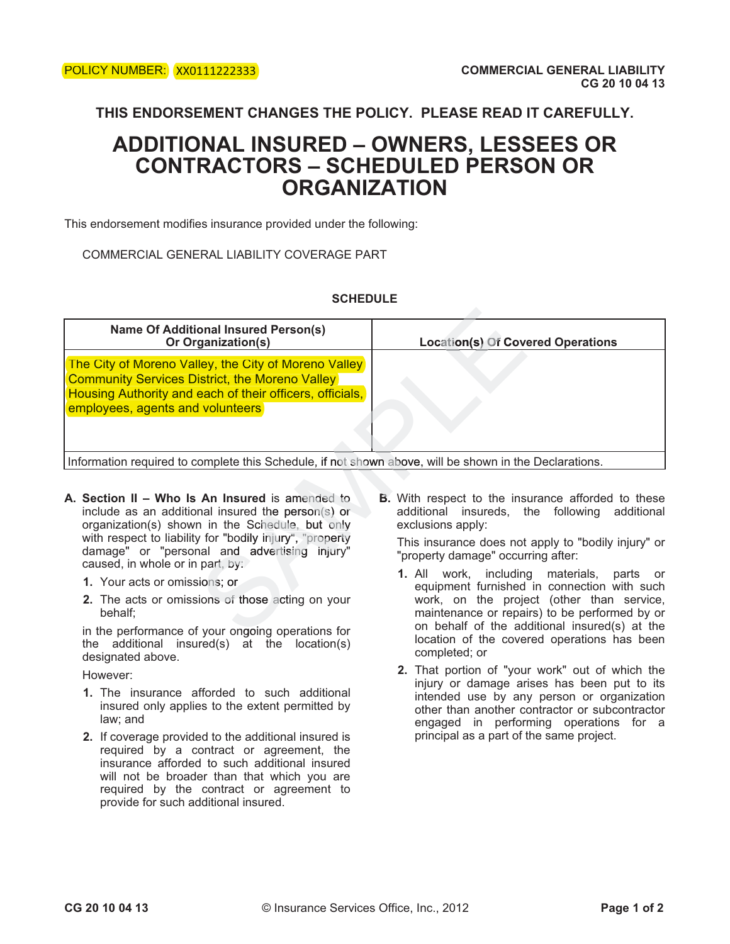## **ADDITIONAL INSURED – OWNERS, LESSEES OR CONTRACTORS – SCHEDULED PERSON OR ORGANIZATION**

This endorsement modifies insurance provided under the following:

COMMERCIAL GENERAL LIABILITY COVERAGE PART

### **SCHEDULE**

| <b>Name Of Additional Insured Person(s)</b><br>Or Organization(s)                                                                                                                                                                                                                                                                                                                                       | <b>Location(s) Of Covered Operations</b>                                                                                                                                                                                                                                                                                                                                                                                |
|---------------------------------------------------------------------------------------------------------------------------------------------------------------------------------------------------------------------------------------------------------------------------------------------------------------------------------------------------------------------------------------------------------|-------------------------------------------------------------------------------------------------------------------------------------------------------------------------------------------------------------------------------------------------------------------------------------------------------------------------------------------------------------------------------------------------------------------------|
| The City of Moreno Valley, the City of Moreno Valley<br><b>Community Services District, the Moreno Valley</b><br>Housing Authority and each of their officers, officials,<br>employees, agents and volunteers                                                                                                                                                                                           |                                                                                                                                                                                                                                                                                                                                                                                                                         |
| Information required to complete this Schedule, if not shown above, will be shown in the Declarations.                                                                                                                                                                                                                                                                                                  |                                                                                                                                                                                                                                                                                                                                                                                                                         |
| A. Section II – Who Is An Insured is amended to<br>include as an additional insured the person(s) or<br>organization(s) shown in the Schedule, but only<br>with respect to liability for "bodily injury", "property<br>damage" or "personal and advertising injury"<br>caused, in whole or in part, by:<br>1. Your acts or omissions; or<br>2. The acts or omissions of those acting on your<br>behalf; | <b>B.</b> With respect to the insurance afforded to these<br>additional insureds, the following additional<br>exclusions apply:<br>This insurance does not apply to "bodily injury" or<br>"property damage" occurring after:<br>1. All work, including materials, parts or<br>equipment furnished in connection with such<br>work, on the project (other than service,<br>maintenance or repairs) to be performed by or |
| in the performance of your ongoing operations for                                                                                                                                                                                                                                                                                                                                                       | on behalf of the additional insured(s) at the                                                                                                                                                                                                                                                                                                                                                                           |

- **A. Section II Who Is An Insured** is amended to **Section II – Who Is An Insured** is amended to include as an additional insured the person(s) or organization(s) shown in the Schedule, but only with respect to liability for "bodily injury", "property with respect to liability for "bodily injury", "property<br>damage" or "personal and advertising injury"
	- caused, in whole or in part, by:<br>**1.** Your acts or omissions; or **1.** Your acts or omissions; or
	- **2.** The acts or omissions of those acting on your behalf;

in the performance of your ongoing operations for the additional insured(s) at the location(s) designated above.

However:

- **1.** The insurance afforded to such additional insured only applies to the extent permitted by law; and
- **2.** If coverage provided to the additional insured is required by a contract or agreement, the insurance afforded to such additional insured will not be broader than that which you are required by the contract or agreement to provide for such additional insured.

- **1.** All work, including materials, parts or equipment furnished in connection with such work, on the project (other than service, maintenance or repairs) to be performed by or on behalf of the additional insured(s) at the location of the covered operations has been completed; or
- **2.** That portion of "your work" out of which the injury or damage arises has been put to its intended use by any person or organization other than another contractor or subcontractor engaged in performing operations for a principal as a part of the same project.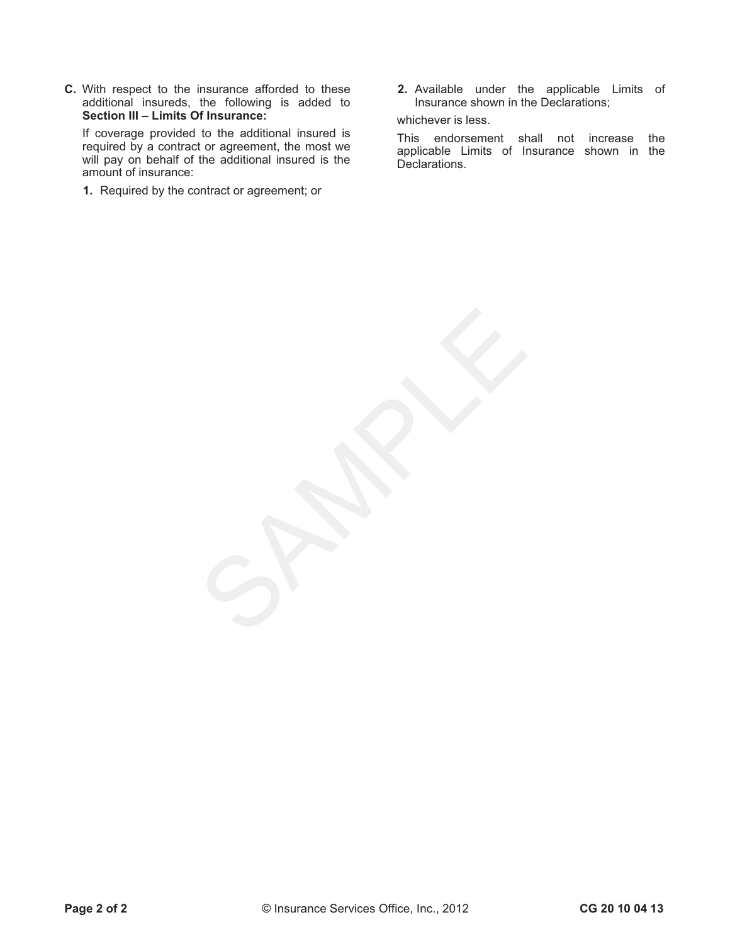**C.** With respect to the insurance afforded to these additional insureds, the following is added to **Section III – Limits Of Insurance:**

If coverage provided to the additional insured is required by a contract or agreement, the most we will pay on behalf of the additional insured is the amount of insurance:

- **1.** Required by the contract or agreement; or
- **2.** Available under the applicable Limits of Insurance shown in the Declarations;

#### whichever is less.

This endorsement shall not increase the applicable Limits of Insurance shown in the Declarations.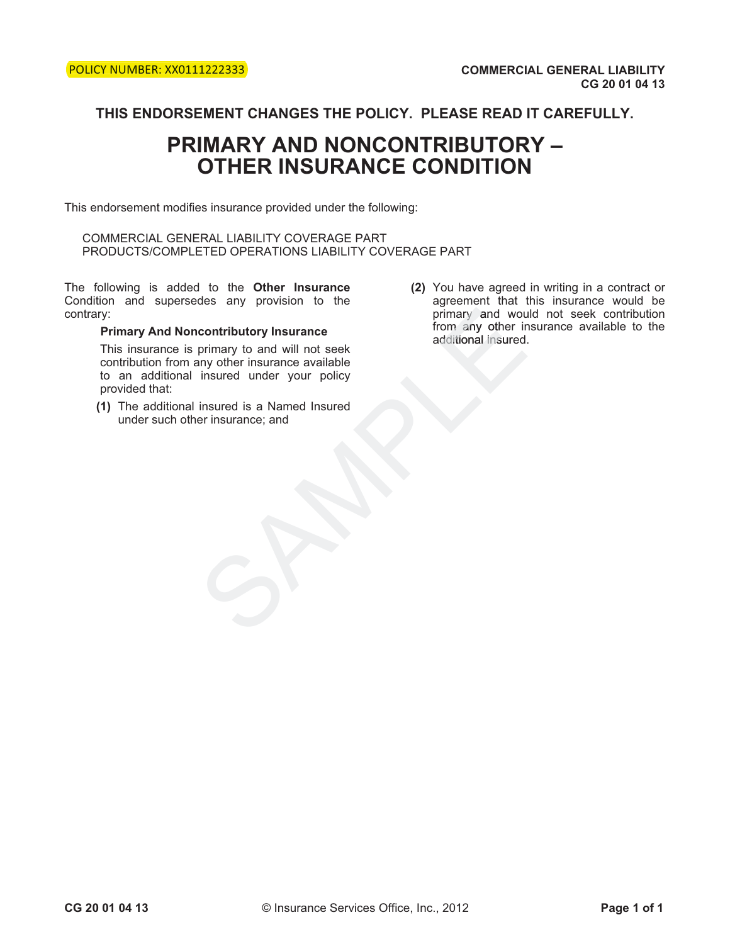# **PRIMARY AND NONCONTRIBUTORY – OTHER INSURANCE CONDITION**

This endorsement modifies insurance provided under the following:

COMMERCIAL GENERAL LIABILITY COVERAGE PART PRODUCTS/COMPLETED OPERATIONS LIABILITY COVERAGE PART

The following is added to the **Other Insurance**  Condition and supersedes any provision to the contrary:

#### **Primary And Noncontributory Insurance**

This insurance is primary to and will not seek contribution from any other insurance available to an additional insured under your policy provided that: contributory Insurance<br>
primary and would not seek<br>
insurance available<br>
insured under your policy<br>
insured is a Named Insured<br>
er insurance; and<br>
Final primary and would insured.<br>
Insured is a Named Insured<br>
Final primary

- **(1)** The additional insured is a Named Insured under such other insurance; and
- **(2)** You have agreed in writing in a contract or agreement that this insurance would be primary and would not seek contribution from any other insurance available to the additional insured.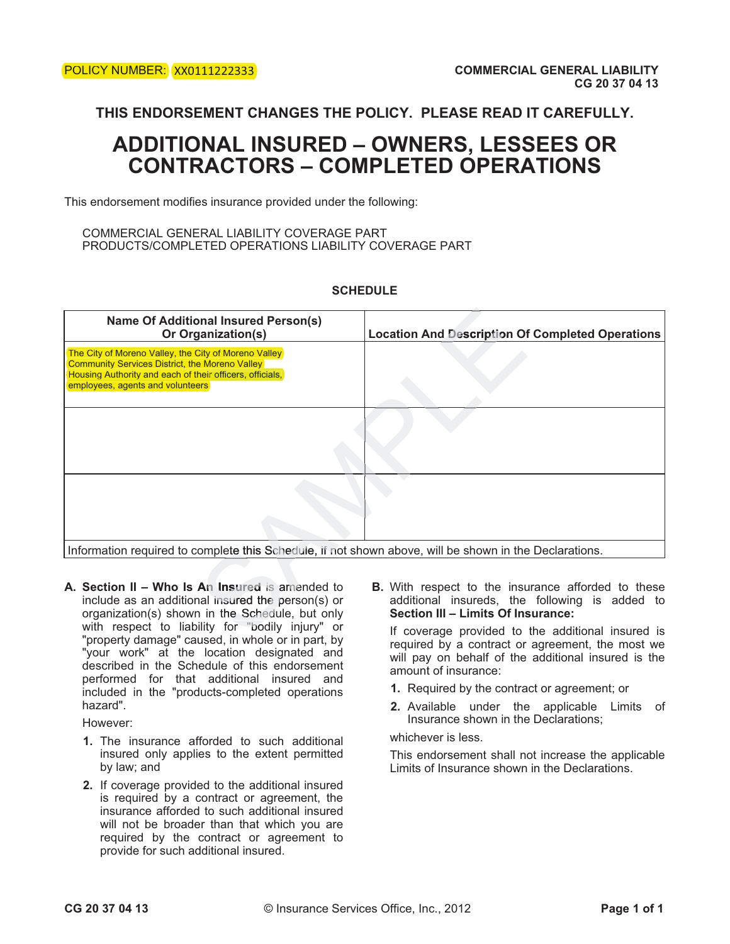## **ADDITIONAL INSURED – OWNERS, LESSEES OR CONTRACTORS – COMPLETED OPERATIONS**

This endorsement modifies insurance provided under the following:

#### COMMERCIAL GENERAL LIABILITY COVERAGE PART PRODUCTS/COMPLETED OPERATIONS LIABILITY COVERAGE PART

### **SCHEDULE**

| <b>Name Of Additional Insured Person(s)</b><br>Or Organization(s)                                                                                                                                             | <b>Location And Description Of Completed Operations</b>                                                                                                                                                |
|---------------------------------------------------------------------------------------------------------------------------------------------------------------------------------------------------------------|--------------------------------------------------------------------------------------------------------------------------------------------------------------------------------------------------------|
| The City of Moreno Valley, the City of Moreno Valley<br><b>Community Services District, the Moreno Valley</b><br>Housing Authority and each of their officers, officials,<br>employees, agents and volunteers |                                                                                                                                                                                                        |
|                                                                                                                                                                                                               |                                                                                                                                                                                                        |
|                                                                                                                                                                                                               |                                                                                                                                                                                                        |
| Information required to complete this Schedule, if not shown above, will be shown in the Declarations.                                                                                                        |                                                                                                                                                                                                        |
| A. Section II - Who Is An Insured is amended to<br>include as an additional insured the person(s) or<br>organization(s) shown in the Schedule, but only<br>with respect to liability for "bodily injury" or   | <b>B.</b> With respect to the insurance afforded to these<br>additional insureds, the following is added to<br>Section III - Limits Of Insurance:<br>If coverage provided to the additional insured is |

**A. Section II – Who Is An Insured is amended to** include as an additional insured the person(s) or organization(s) shown in the Schedule, but only with respect to liability for "bodily injury" or "property damage" caused, in whole or in part, by "your work" at the location designated and described in the Schedule of this endorsement performed for that additional insured and included in the "products-completed operations hazard".

However:

- **1.** The insurance afforded to such additional insured only applies to the extent permitted by law; and
- **2.** If coverage provided to the additional insured is required by a contract or agreement, the insurance afforded to such additional insured will not be broader than that which you are required by the contract or agreement to provide for such additional insured.

If coverage provided to the additional insured is required by a contract or agreement, the most we will pay on behalf of the additional insured is the amount of insurance:

- **1.** Required by the contract or agreement; or
- **2.** Available under the applicable Limits of Insurance shown in the Declarations;

whichever is less.

This endorsement shall not increase the applicable Limits of Insurance shown in the Declarations.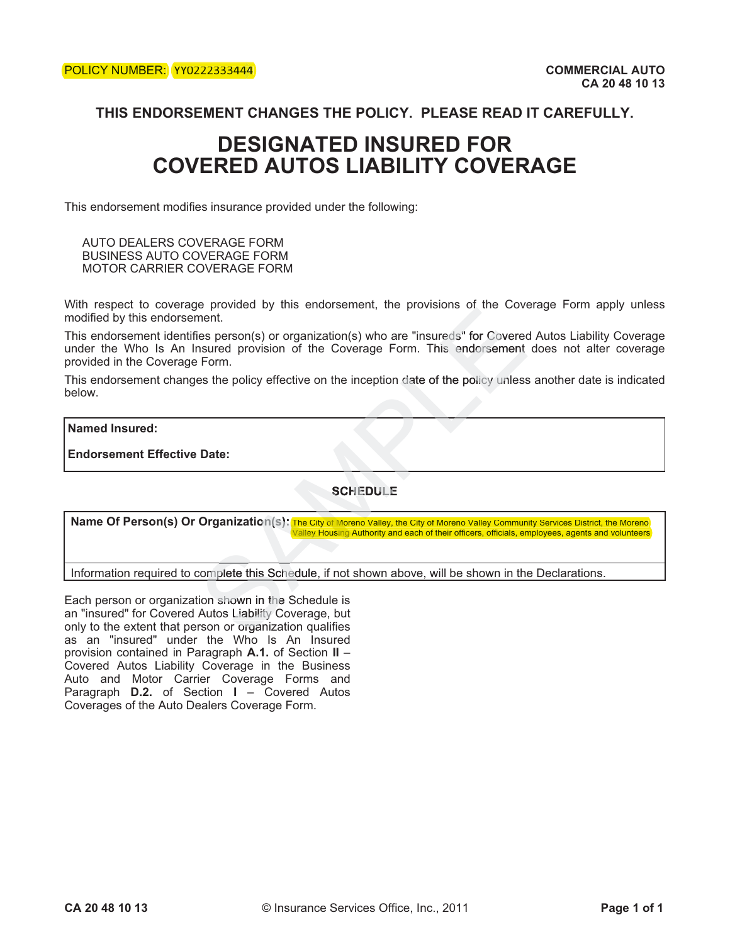# **DESIGNATED INSURED FOR COVERED AUTOS LIABILITY COVERAGE**

This endorsement modifies insurance provided under the following:

AUTO DEALERS COVERAGE FORM BUSINESS AUTO COVERAGE FORM MOTOR CARRIER COVERAGE FORM

With respect to coverage provided by this endorsement, the provisions of the Coverage Form apply unless modified by this endorsement.

This endorsement identifies person(s) or organization(s) who are "insureds" for Covered Autos Liability Coverage under the Who Is An Insured provision of the Coverage Form. This endorsement does not alter coverage provided in the Coverage Form. e provided by this endorsement, the provisions of the Coverage Form apply unle<br>
ment.<br>
Here the person(s) or organization(s) who are "insureds" for Covered Autos Liability Covera<br>
Form.<br>
This endorsement does not alter cov

This endorsement changes the policy effective on the inception date of the policy unless another date is indicated below. ive on the inception date of the policy unl<br>SCHEDULE<br>The City of Moreno Valley, the City of Moreno Valley Pousing Authority and each of their officers, officials

#### **Named Insured:**

**Endorsement Effective Date:** 

### **SCHEDULE SCHEDULE**

**Name Of Person(s) Or Organization(s):** (The City of Moreno Valley, the City of Moreno Valley Community Services District, the Moreno ty of M<mark>orer</mark><br>Housing A

Information required to complete this Schedule, if not shown above, will be shown in the Declarations.

Each person or organization shown in the Schedule is an "insured" for Covered Autos Liability Coverage, but only to the extent that person or organization qualifies as an "insured" under the Who Is An Insured provision contained in Paragraph **A.1.** of Section **II** – Covered Autos Liability Coverage in the Business Auto and Motor Carrier Coverage Forms and Paragraph **D.2.** of Section **I** – Covered Autos Coverages of the Auto Dealers Coverage Form. Date:<br>
SCHEDULE<br>
Organization(s): The City of Moreno Valley,<br>
Valley Housing Authority a<br>
complete this Schedule, if not shown a<br>
complete this Schedule, if not shown a<br>
dion shown in the Schedule is<br>
Autos Liability Cover